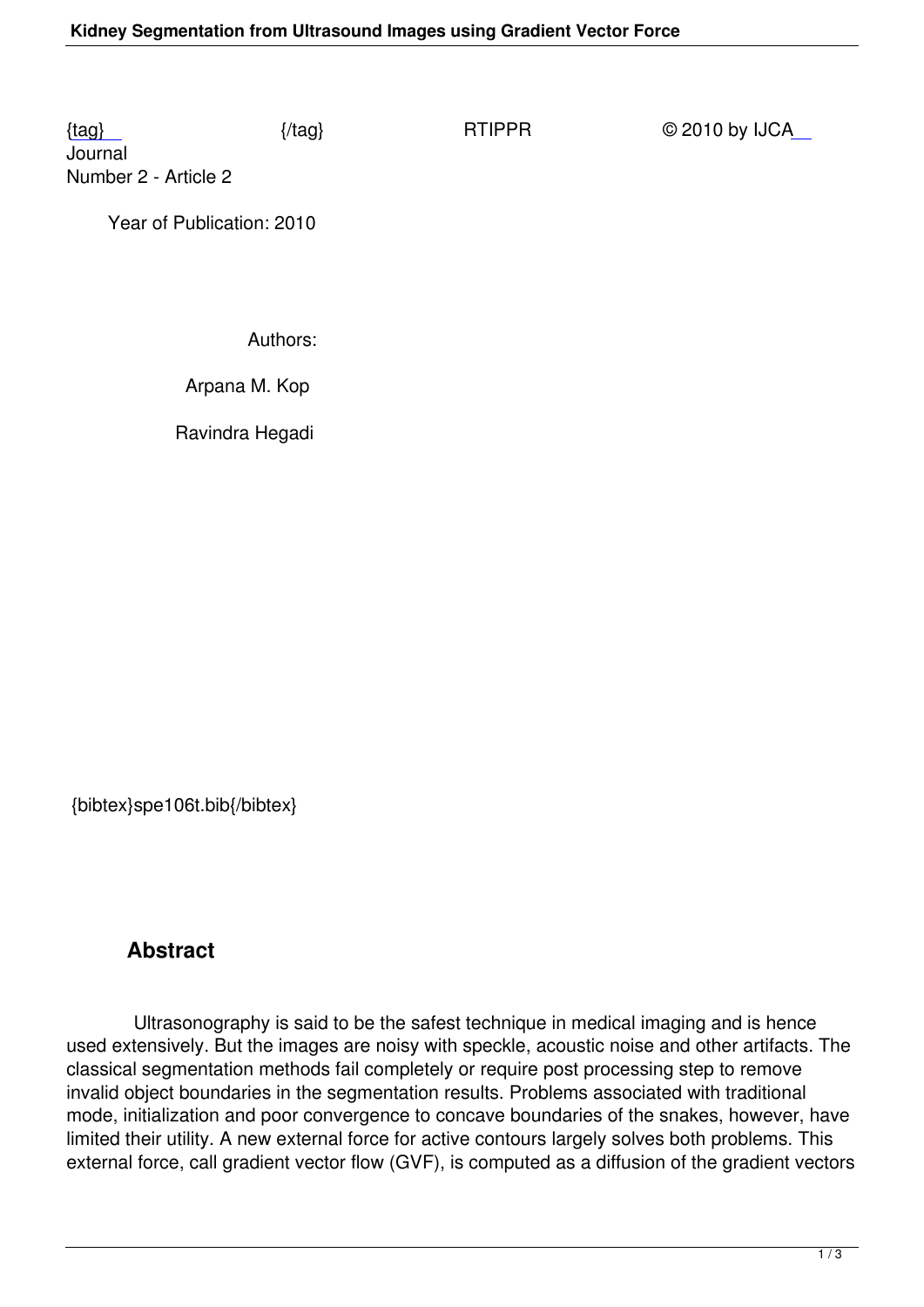Journal Number 2 - Article 2

 [Ye](/rtippr/number2/SPE106T.pdf)ar of Publication: 2010

Authors:

Arpana M. Kop

Ravindra Hegadi

{bibtex}spe106t.bib{/bibtex}

## **Abstract**

 Ultrasonography is said to be the safest technique in medical imaging and is hence used extensively. But the images are noisy with speckle, acoustic noise and other artifacts. The classical segmentation methods fail completely or require post processing step to remove invalid object boundaries in the segmentation results. Problems associated with traditional mode, initialization and poor convergence to concave boundaries of the snakes, however, have limited their utility. A new external force for active contours largely solves both problems. This external force, call gradient vector flow (GVF), is computed as a diffusion of the gradient vectors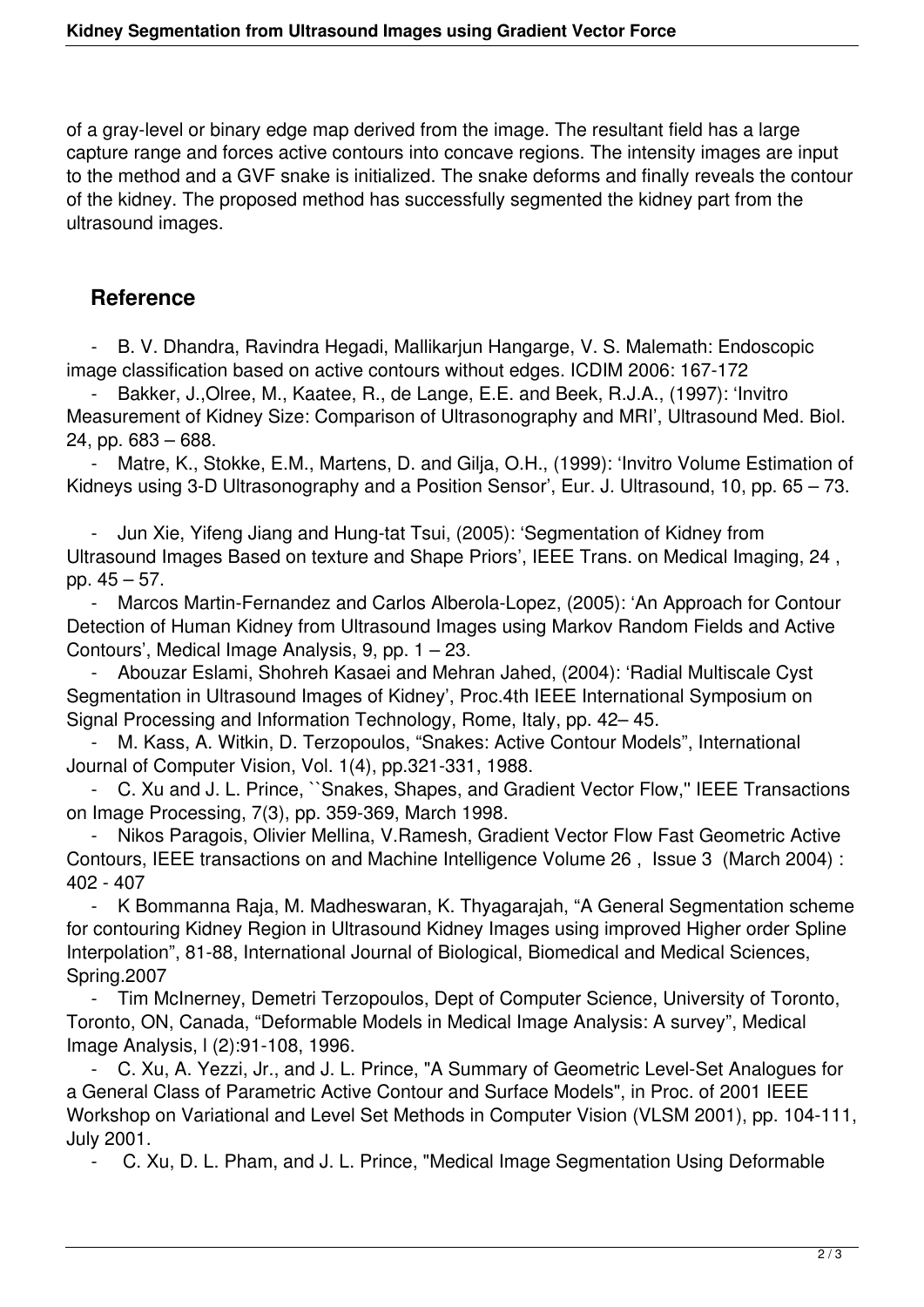of a gray-level or binary edge map derived from the image. The resultant field has a large capture range and forces active contours into concave regions. The intensity images are input to the method and a GVF snake is initialized. The snake deforms and finally reveals the contour of the kidney. The proposed method has successfully segmented the kidney part from the ultrasound images.

## **Reference**

 - B. V. Dhandra, Ravindra Hegadi, Mallikarjun Hangarge, V. S. Malemath: Endoscopic image classification based on active contours without edges. ICDIM 2006: 167-172

Bakker, J., Olree, M., Kaatee, R., de Lange, E.E. and Beek, R.J.A., (1997): 'Invitro Measurement of Kidney Size: Comparison of Ultrasonography and MRI', Ultrasound Med. Biol. 24, pp. 683 – 688.

Matre, K., Stokke, E.M., Martens, D. and Gilja, O.H., (1999): 'Invitro Volume Estimation of Kidneys using 3-D Ultrasonography and a Position Sensor', Eur. J. Ultrasound, 10, pp. 65 – 73.

 - Jun Xie, Yifeng Jiang and Hung-tat Tsui, (2005): 'Segmentation of Kidney from Ultrasound Images Based on texture and Shape Priors', IEEE Trans. on Medical Imaging, 24 , pp. 45 – 57.

Marcos Martin-Fernandez and Carlos Alberola-Lopez, (2005): 'An Approach for Contour Detection of Human Kidney from Ultrasound Images using Markov Random Fields and Active Contours', Medical Image Analysis, 9, pp. 1 – 23.

 - Abouzar Eslami, Shohreh Kasaei and Mehran Jahed, (2004): 'Radial Multiscale Cyst Segmentation in Ultrasound Images of Kidney', Proc.4th IEEE International Symposium on Signal Processing and Information Technology, Rome, Italy, pp. 42– 45.

 - M. Kass, A. Witkin, D. Terzopoulos, "Snakes: Active Contour Models", International Journal of Computer Vision, Vol. 1(4), pp.321-331, 1988.

 - C. Xu and J. L. Prince, ``Snakes, Shapes, and Gradient Vector Flow,'' IEEE Transactions on Image Processing, 7(3), pp. 359-369, March 1998.

Nikos Paragois, Olivier Mellina, V.Ramesh, Gradient Vector Flow Fast Geometric Active Contours, IEEE transactions on and Machine Intelligence Volume 26 , Issue 3 (March 2004) : 402 - 407

K Bommanna Raja, M. Madheswaran, K. Thyagarajah, "A General Segmentation scheme for contouring Kidney Region in Ultrasound Kidney Images using improved Higher order Spline Interpolation", 81-88, International Journal of Biological, Biomedical and Medical Sciences, Spring.2007

 - Tim McInerney, Demetri Terzopoulos, Dept of Computer Science, University of Toronto, Toronto, ON, Canada, "Deformable Models in Medical Image Analysis: A survey", Medical Image Analysis, l (2):91-108, 1996.

 - C. Xu, A. Yezzi, Jr., and J. L. Prince, "A Summary of Geometric Level-Set Analogues for a General Class of Parametric Active Contour and Surface Models", in Proc. of 2001 IEEE Workshop on Variational and Level Set Methods in Computer Vision (VLSM 2001), pp. 104-111, July 2001.

- C. Xu, D. L. Pham, and J. L. Prince, "Medical Image Segmentation Using Deformable